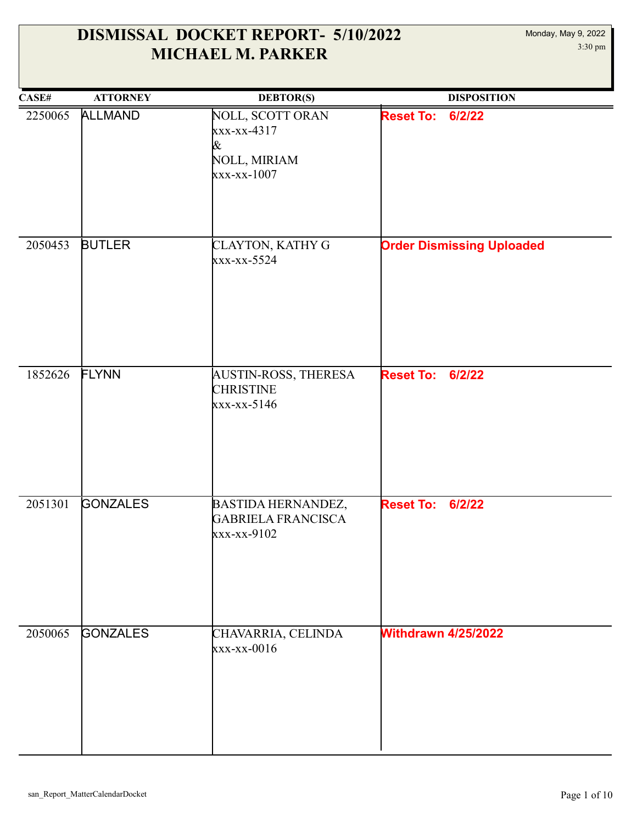| CASE#   | <b>ATTORNEY</b> | <b>DEBTOR(S)</b>                                                      | <b>DISPOSITION</b>               |
|---------|-----------------|-----------------------------------------------------------------------|----------------------------------|
| 2250065 | <b>ALLMAND</b>  | NOLL, SCOTT ORAN<br>$xxx-xx-4317$<br>&<br>NOLL, MIRIAM<br>xxx-xx-1007 | 6/2/22<br><b>Reset To:</b>       |
| 2050453 | <b>BUTLER</b>   | CLAYTON, KATHY G<br>xxx-xx-5524                                       | <b>Order Dismissing Uploaded</b> |
| 1852626 | FLYNN           | AUSTIN-ROSS, THERESA<br><b>CHRISTINE</b><br>xxx-xx-5146               | <b>Reset To:</b><br>6/2/22       |
| 2051301 | <b>GONZALES</b> | BASTIDA HERNANDEZ,<br><b>GABRIELA FRANCISCA</b><br>xxx-xx-9102        | <b>Reset To: 6/2/22</b>          |
| 2050065 | <b>GONZALES</b> | CHAVARRIA, CELINDA<br>$xxx-xx-0016$                                   | <b>Withdrawn 4/25/2022</b>       |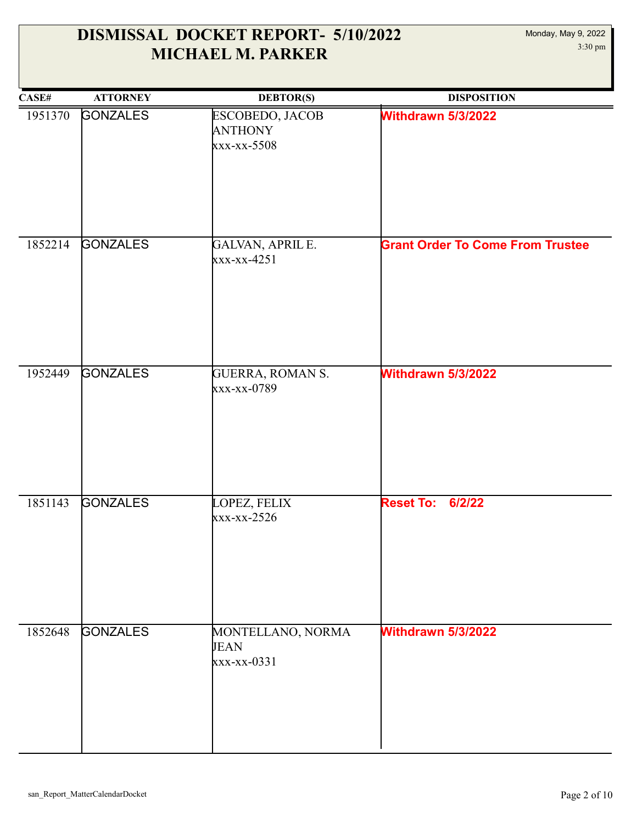| CASE#   | <b>ATTORNEY</b> | <b>DEBTOR(S)</b>                                 | <b>DISPOSITION</b>                      |
|---------|-----------------|--------------------------------------------------|-----------------------------------------|
| 1951370 | <b>GONZALES</b> | ESCOBEDO, JACOB<br><b>ANTHONY</b><br>xxx-xx-5508 | Withdrawn 5/3/2022                      |
| 1852214 | <b>GONZALES</b> | GALVAN, APRIL E.<br>xxx-xx-4251                  | <b>Grant Order To Come From Trustee</b> |
| 1952449 | <b>GONZALES</b> | GUERRA, ROMAN S.<br>xxx-xx-0789                  | Withdrawn 5/3/2022                      |
| 1851143 | <b>GONZALES</b> | LOPEZ, FELIX<br>$xxx-xx-2526$                    | <b>Reset To:</b><br>6/2/22              |
| 1852648 | <b>GONZALES</b> | MONTELLANO, NORMA<br><b>JEAN</b><br>xxx-xx-0331  | Withdrawn 5/3/2022                      |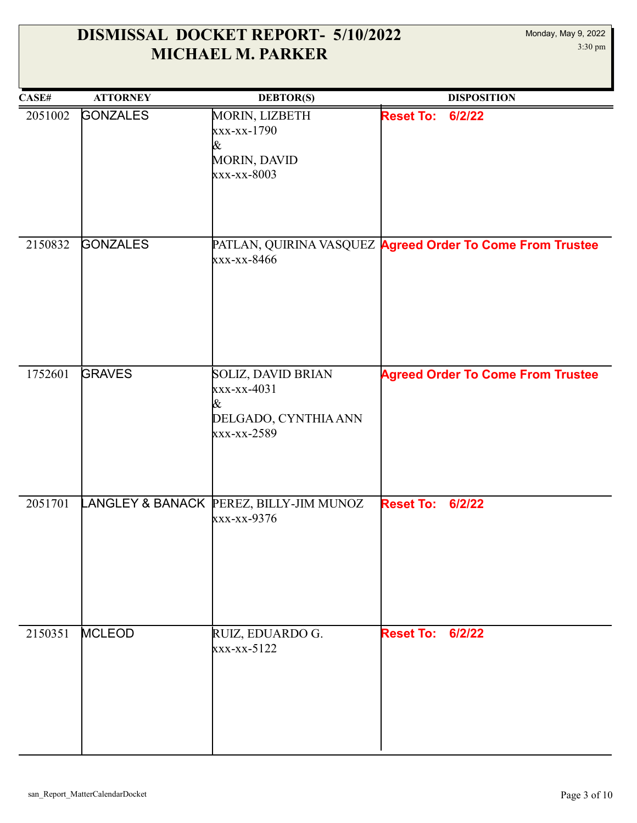| CASE#   | <b>ATTORNEY</b> | <b>DEBTOR(S)</b>                                                                | <b>DISPOSITION</b>                                        |
|---------|-----------------|---------------------------------------------------------------------------------|-----------------------------------------------------------|
| 2051002 | <b>GONZALES</b> | MORIN, LIZBETH<br>xxx-xx-1790<br>&<br><b>MORIN, DAVID</b><br>xxx-xx-8003        | <b>Reset To:</b><br>6/2/22                                |
| 2150832 | <b>GONZALES</b> | xxx-xx-8466                                                                     | PATLAN, QUIRINA VASQUEZ Agreed Order To Come From Trustee |
| 1752601 | <b>GRAVES</b>   | SOLIZ, DAVID BRIAN<br>$xxx-xx-4031$<br>&<br>DELGADO, CYNTHIA ANN<br>xxx-xx-2589 | <b>Agreed Order To Come From Trustee</b>                  |
| 2051701 |                 | LANGLEY & BANACK PEREZ, BILLY-JIM MUNOZ<br>xxx-xx-9376                          | <b>Reset To:</b><br>6/2/22                                |
| 2150351 | <b>MCLEOD</b>   | RUIZ, EDUARDO G.<br>xxx-xx-5122                                                 | <b>Reset To: 6/2/22</b>                                   |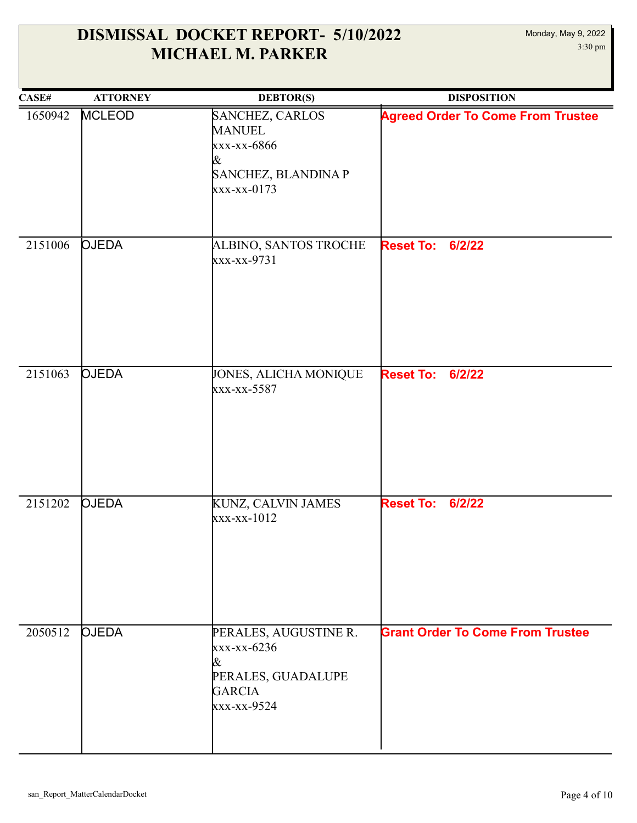| CASE#   | <b>ATTORNEY</b> | <b>DEBTOR(S)</b>                                                                                | <b>DISPOSITION</b>                       |
|---------|-----------------|-------------------------------------------------------------------------------------------------|------------------------------------------|
| 1650942 | <b>MCLEOD</b>   | SANCHEZ, CARLOS<br><b>MANUEL</b><br>xxx-xx-6866<br>&<br>SANCHEZ, BLANDINA P<br>$xxx-xx-0173$    | <b>Agreed Order To Come From Trustee</b> |
| 2151006 | <b>OJEDA</b>    | <b>ALBINO, SANTOS TROCHE</b><br>xxx-xx-9731                                                     | <b>Reset To:</b><br>6/2/22               |
| 2151063 | <b>OJEDA</b>    | JONES, ALICHA MONIQUE<br>xxx-xx-5587                                                            | <b>Reset To: 6/2/22</b>                  |
| 2151202 | <b>OJEDA</b>    | KUNZ, CALVIN JAMES<br>xxx-xx-1012                                                               | 6/2/22<br><b>Reset To:</b>               |
| 2050512 | <b>OJEDA</b>    | PERALES, AUGUSTINE R.<br>xxx-xx-6236<br>&<br>PERALES, GUADALUPE<br><b>GARCIA</b><br>xxx-xx-9524 | <b>Grant Order To Come From Trustee</b>  |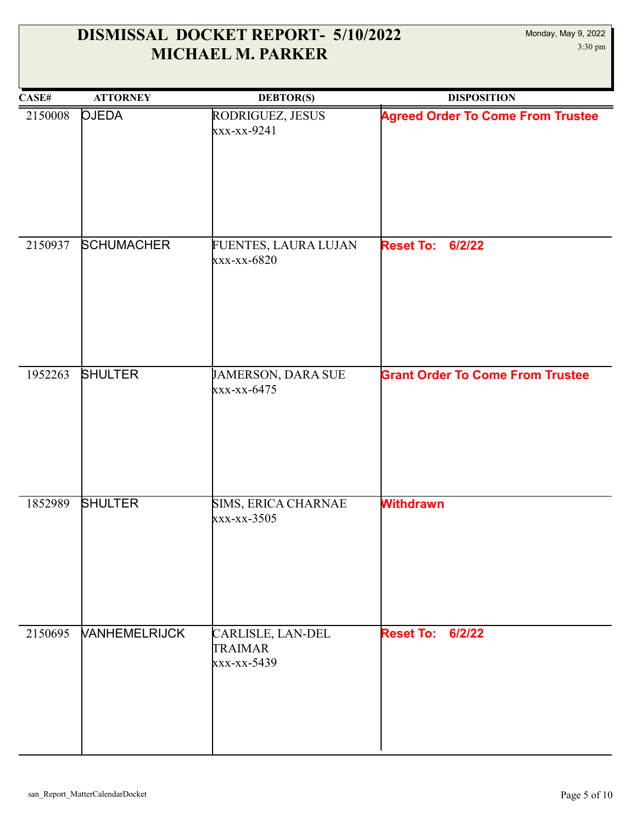| CASE#   | <b>ATTORNEY</b>      | <b>DEBTOR(S)</b>                                   | <b>DISPOSITION</b>                       |
|---------|----------------------|----------------------------------------------------|------------------------------------------|
| 2150008 | <b>OJEDA</b>         | RODRIGUEZ, JESUS<br>xxx-xx-9241                    | <b>Agreed Order To Come From Trustee</b> |
| 2150937 | <b>SCHUMACHER</b>    | FUENTES, LAURA LUJAN<br>xxx-xx-6820                | <b>Reset To:</b><br>6/2/22               |
| 1952263 | <b>SHULTER</b>       | JAMERSON, DARA SUE<br>xxx-xx-6475                  | <b>Grant Order To Come From Trustee</b>  |
| 1852989 | <b>SHULTER</b>       | SIMS, ERICA CHARNAE<br>xxx-xx-3505                 | <b>Withdrawn</b>                         |
| 2150695 | <b>VANHEMELRIJCK</b> | CARLISLE, LAN-DEL<br><b>TRAIMAR</b><br>xxx-xx-5439 | <b>Reset To: 6/2/22</b>                  |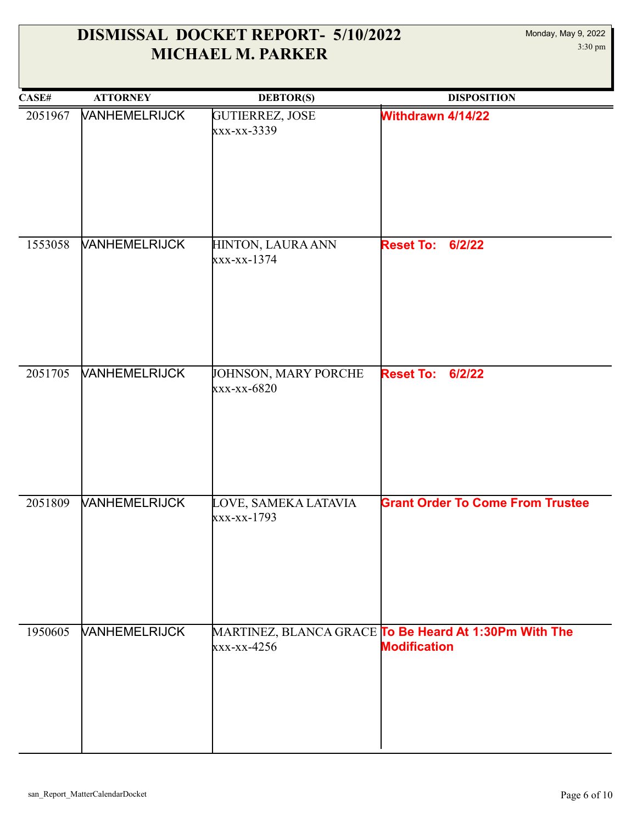| CASE#   | <b>ATTORNEY</b>             | <b>DEBTOR(S)</b>                    | <b>DISPOSITION</b>                                                           |
|---------|-----------------------------|-------------------------------------|------------------------------------------------------------------------------|
| 2051967 | <b>VANHEMELRIJCK</b>        | GUTIERREZ, JOSE<br>xxx-xx-3339      | Withdrawn 4/14/22                                                            |
| 1553058 | <b>VANHEMELRIJCK</b>        | HINTON, LAURA ANN<br>xxx-xx-1374    | <b>Reset To:</b><br>6/2/22                                                   |
| 2051705 | <b>VANHEMELRIJCK</b>        | JOHNSON, MARY PORCHE<br>xxx-xx-6820 | <b>Reset To:</b><br>6/2/22                                                   |
| 2051809 | <b><i>VANHEMELRIJCK</i></b> | LOVE, SAMEKA LATAVIA<br>xxx-xx-1793 | <b>Grant Order To Come From Trustee</b>                                      |
| 1950605 | <b>VANHEMELRIJCK</b>        | $xxx-xx-4256$                       | MARTINEZ, BLANCA GRACE To Be Heard At 1:30Pm With The<br><b>Modification</b> |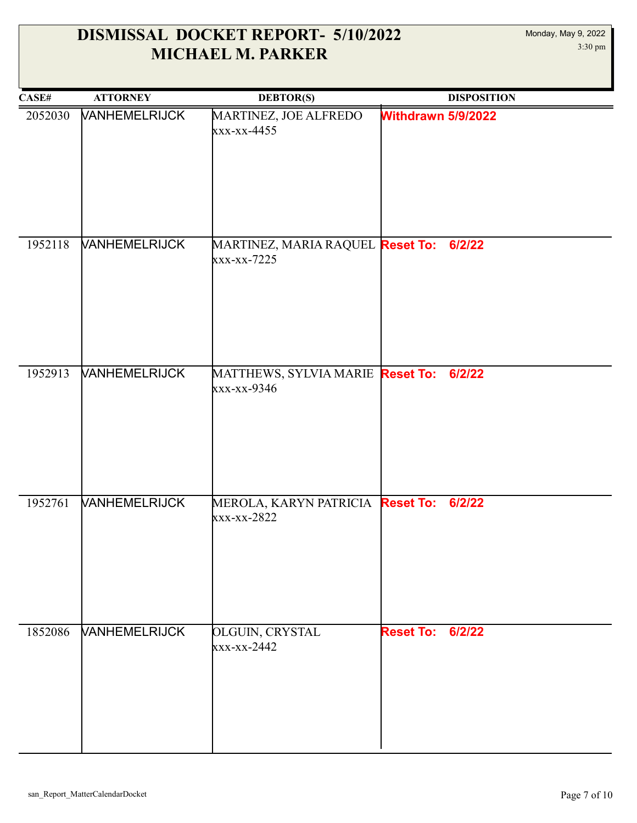| CASE#   | <b>ATTORNEY</b>      | <b>DEBTOR(S)</b>                                       | <b>DISPOSITION</b>      |
|---------|----------------------|--------------------------------------------------------|-------------------------|
| 2052030 | <b>VANHEMELRIJCK</b> | MARTINEZ, JOE ALFREDO<br>xxx-xx-4455                   | Withdrawn 5/9/2022      |
| 1952118 | VANHEMELRIJCK        | MARTINEZ, MARIA RAQUEL Reset To: 6/2/22<br>xxx-xx-7225 |                         |
| 1952913 | VANHEMELRIJCK        | MATTHEWS, SYLVIA MARIE Reset To: 6/2/22<br>xxx-xx-9346 |                         |
| 1952761 | <b>VANHEMELRIJCK</b> | MEROLA, KARYN PATRICIA Reset To:<br>xxx-xx-2822        | 6/2/22                  |
| 1852086 | <b>VANHEMELRIJCK</b> | <b>OLGUIN, CRYSTAL</b><br>xxx-xx-2442                  | <b>Reset To: 6/2/22</b> |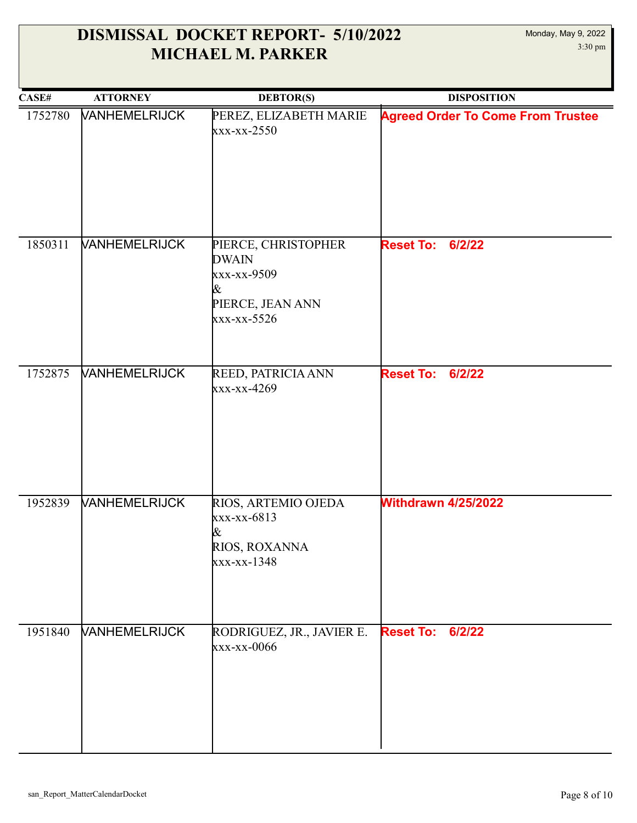| CASE#   | <b>ATTORNEY</b>             | <b>DEBTOR(S)</b>                                                                           | <b>DISPOSITION</b>                       |
|---------|-----------------------------|--------------------------------------------------------------------------------------------|------------------------------------------|
| 1752780 | <b>VANHEMELRIJCK</b>        | PEREZ, ELIZABETH MARIE<br>$\frac{xx - xx - 2550}{x}$                                       | <b>Agreed Order To Come From Trustee</b> |
| 1850311 | <b>VANHEMELRIJCK</b>        | PIERCE, CHRISTOPHER<br><b>DWAIN</b><br>xxx-xx-9509<br>&<br>PIERCE, JEAN ANN<br>xxx-xx-5526 | <b>Reset To:</b><br>6/2/22               |
| 1752875 | <b>VANHEMELRIJCK</b>        | REED, PATRICIA ANN<br>xxx-xx-4269                                                          | <b>Reset To:</b><br>6/2/22               |
| 1952839 | <b><i>VANHEMELRIJCK</i></b> | RIOS, ARTEMIO OJEDA<br>xxx-xx-6813<br>&<br>RIOS, ROXANNA<br>xxx-xx-1348                    | <b>Withdrawn 4/25/2022</b>               |
| 1951840 | <b>VANHEMELRIJCK</b>        | RODRIGUEZ, JR., JAVIER E.<br>xxx-xx-0066                                                   | <b>Reset To:</b><br>6/2/22               |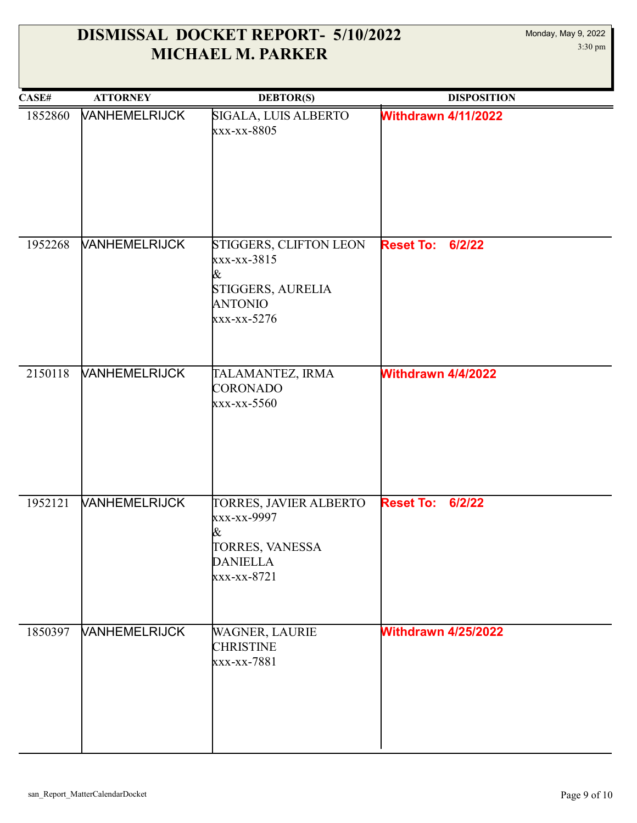| CASE#   | <b>ATTORNEY</b>      | <b>DEBTOR(S)</b>                                                                                | <b>DISPOSITION</b>         |
|---------|----------------------|-------------------------------------------------------------------------------------------------|----------------------------|
| 1852860 | <b>VANHEMELRIJCK</b> | SIGALA, LUIS ALBERTO<br>xxx-xx-8805                                                             | <b>Withdrawn 4/11/2022</b> |
| 1952268 | <b>VANHEMELRIJCK</b> | STIGGERS, CLIFTON LEON<br>xxx-xx-3815<br>&<br>STIGGERS, AURELIA<br>ANTONIO<br>xxx-xx-5276       | 6/2/22<br><b>Reset To:</b> |
| 2150118 | <b>VANHEMELRIJCK</b> | TALAMANTEZ, IRMA<br>CORONADO<br>xxx-xx-5560                                                     | Withdrawn 4/4/2022         |
| 1952121 | <b>VANHEMELRIJCK</b> | TORRES, JAVIER ALBERTO<br>xxx-xx-9997<br>&<br>TORRES, VANESSA<br><b>DANIELLA</b><br>xxx-xx-8721 | <b>Reset To: 6/2/22</b>    |
| 1850397 | <b>VANHEMELRIJCK</b> | WAGNER, LAURIE<br><b>CHRISTINE</b><br>xxx-xx-7881                                               | <b>Withdrawn 4/25/2022</b> |